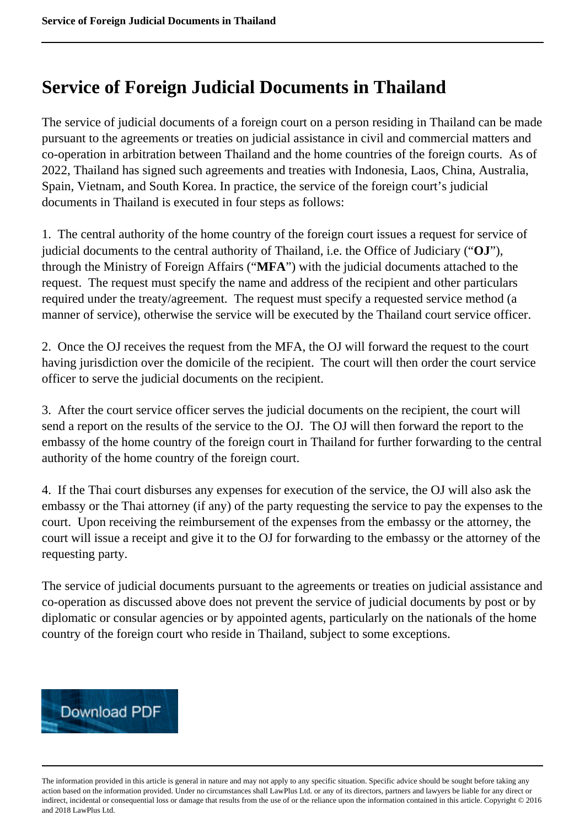## **Service of Foreign Judicial Documents in Thailand**

The service of judicial documents of a foreign court on a person residing in Thailand can be made pursuant to the agreements or treaties on judicial assistance in civil and commercial matters and co-operation in arbitration between Thailand and the home countries of the foreign courts. As of 2022, Thailand has signed such agreements and treaties with Indonesia, Laos, China, Australia, Spain, Vietnam, and South Korea. In practice, the service of the foreign court's judicial documents in Thailand is executed in four steps as follows:

1. The central authority of the home country of the foreign court issues a request for service of judicial documents to the central authority of Thailand, i.e. the Office of Judiciary ("**OJ**"), through the Ministry of Foreign Affairs ("**MFA**") with the judicial documents attached to the request. The request must specify the name and address of the recipient and other particulars required under the treaty/agreement. The request must specify a requested service method (a manner of service), otherwise the service will be executed by the Thailand court service officer.

2. Once the OJ receives the request from the MFA, the OJ will forward the request to the court having jurisdiction over the domicile of the recipient. The court will then order the court service officer to serve the judicial documents on the recipient.

3. After the court service officer serves the judicial documents on the recipient, the court will send a report on the results of the service to the OJ. The OJ will then forward the report to the embassy of the home country of the foreign court in Thailand for further forwarding to the central authority of the home country of the foreign court.

4. If the Thai court disburses any expenses for execution of the service, the OJ will also ask the embassy or the Thai attorney (if any) of the party requesting the service to pay the expenses to the court. Upon receiving the reimbursement of the expenses from the embassy or the attorney, the court will issue a receipt and give it to the OJ for forwarding to the embassy or the attorney of the requesting party.

The service of judicial documents pursuant to the agreements or treaties on judicial assistance and co-operation as discussed above does not prevent the service of judicial documents by post or by diplomatic or consular agencies or by appointed agents, particularly on the nationals of the home country of the foreign court who reside in Thailand, subject to some exceptions.

## **Download PDF**

The information provided in this article is general in nature and may not apply to any specific situation. Specific advice should be sought before taking any action based on the information provided. Under no circumstances shall LawPlus Ltd. or any of its directors, partners and lawyers be liable for any direct or indirect, incidental or consequential loss or damage that results from the use of or the reliance upon the information contained in this article. Copyright © 2016 and 2018 LawPlus Ltd.